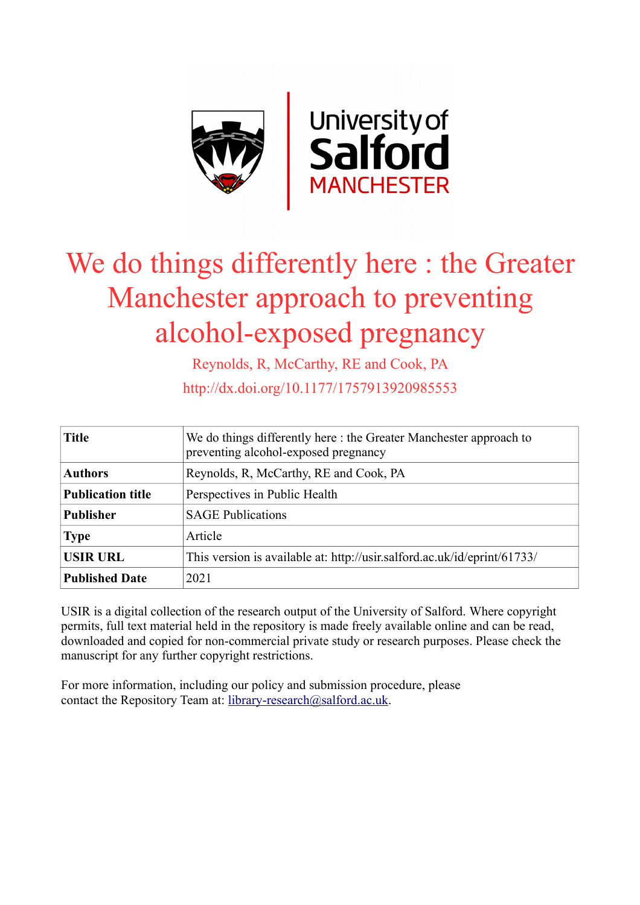

# We do things differently here : the Greater Manchester approach to preventing alcohol-exposed pregnancy

Reynolds, R, McCarthy, RE and Cook, PA http://dx.doi.org/10.1177/1757913920985553

| <b>Title</b>             | We do things differently here: the Greater Manchester approach to<br>preventing alcohol-exposed pregnancy |
|--------------------------|-----------------------------------------------------------------------------------------------------------|
| <b>Authors</b>           | Reynolds, R, McCarthy, RE and Cook, PA                                                                    |
| <b>Publication title</b> | Perspectives in Public Health                                                                             |
| <b>Publisher</b>         | <b>SAGE Publications</b>                                                                                  |
| <b>Type</b>              | Article                                                                                                   |
| <b>USIR URL</b>          | This version is available at: http://usir.salford.ac.uk/id/eprint/61733/                                  |
| <b>Published Date</b>    | 2021                                                                                                      |

USIR is a digital collection of the research output of the University of Salford. Where copyright permits, full text material held in the repository is made freely available online and can be read, downloaded and copied for non-commercial private study or research purposes. Please check the manuscript for any further copyright restrictions.

For more information, including our policy and submission procedure, please contact the Repository Team at: [library-research@salford.ac.uk.](mailto:library-research@salford.ac.uk)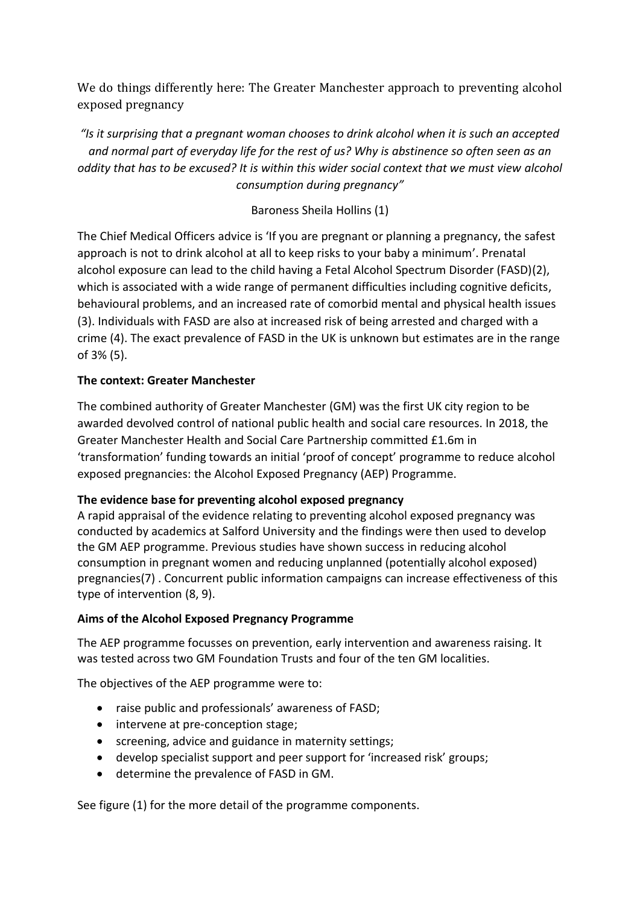We do things differently here: The Greater Manchester approach to preventing alcohol exposed pregnancy

*"Is it surprising that a pregnant woman chooses to drink alcohol when it is such an accepted and normal part of everyday life for the rest of us? Why is abstinence so often seen as an oddity that has to be excused? It is within this wider social context that we must view alcohol consumption during pregnancy"*

# Baroness Sheila Hollins (1)

The Chief Medical Officers advice is 'If you are pregnant or planning a pregnancy, the safest approach is not to drink alcohol at all to keep risks to your baby a minimum'. Prenatal alcohol exposure can lead to the child having a Fetal Alcohol Spectrum Disorder (FASD)(2), which is associated with a wide range of permanent difficulties including cognitive deficits, behavioural problems, and an increased rate of comorbid mental and physical health issues (3). Individuals with FASD are also at increased risk of being arrested and charged with a crime (4). The exact prevalence of FASD in the UK is unknown but estimates are in the range of 3% (5).

# **The context: Greater Manchester**

The combined authority of Greater Manchester (GM) was the first UK city region to be awarded devolved control of national public health and social care resources. In 2018, the Greater Manchester Health and Social Care Partnership committed £1.6m in 'transformation' funding towards an initial 'proof of concept' programme to reduce alcohol exposed pregnancies: the Alcohol Exposed Pregnancy (AEP) Programme.

# **The evidence base for preventing alcohol exposed pregnancy**

A rapid appraisal of the evidence relating to preventing alcohol exposed pregnancy was conducted by academics at Salford University and the findings were then used to develop the GM AEP programme. Previous studies have shown success in reducing alcohol consumption in pregnant women and reducing unplanned (potentially alcohol exposed) pregnancies(7) . Concurrent public information campaigns can increase effectiveness of this type of intervention (8, 9).

#### **Aims of the Alcohol Exposed Pregnancy Programme**

The AEP programme focusses on prevention, early intervention and awareness raising. It was tested across two GM Foundation Trusts and four of the ten GM localities.

The objectives of the AEP programme were to:

- raise public and professionals' awareness of FASD;
- intervene at pre-conception stage;
- screening, advice and guidance in maternity settings;
- develop specialist support and peer support for 'increased risk' groups;
- determine the prevalence of FASD in GM.

See figure (1) for the more detail of the programme components.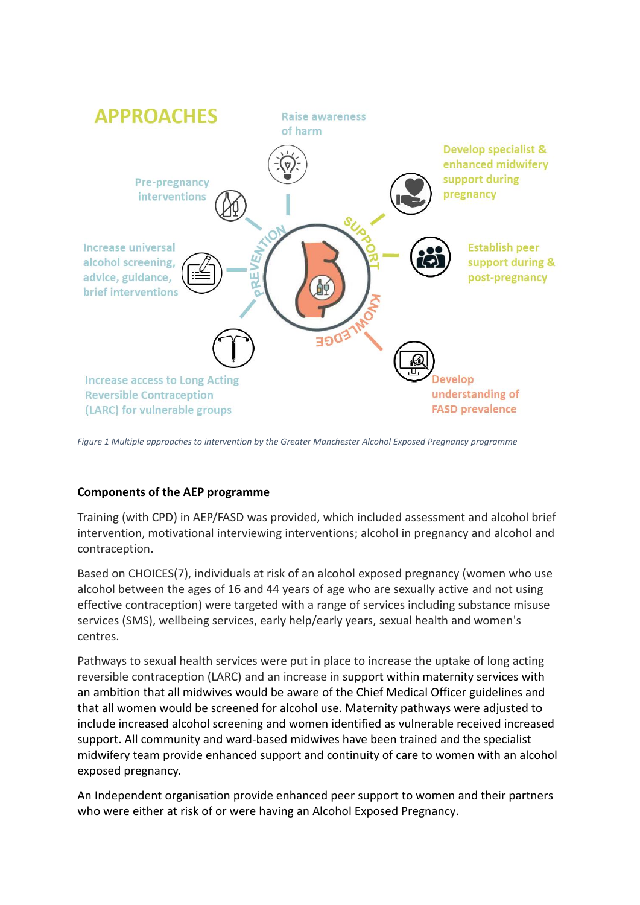

*Figure 1 Multiple approaches to intervention by the Greater Manchester Alcohol Exposed Pregnancy programme* 

#### **Components of the AEP programme**

Training (with CPD) in AEP/FASD was provided, which included assessment and alcohol brief intervention, motivational interviewing interventions; alcohol in pregnancy and alcohol and contraception.

Based on CHOICES(7), individuals at risk of an alcohol exposed pregnancy (women who use alcohol between the ages of 16 and 44 years of age who are sexually active and not using effective contraception) were targeted with a range of services including substance misuse services (SMS), wellbeing services, early help/early years, sexual health and women's centres.

Pathways to sexual health services were put in place to increase the uptake of long acting reversible contraception (LARC) and an increase in support within maternity services with an ambition that all midwives would be aware of the Chief Medical Officer guidelines and that all women would be screened for alcohol use. Maternity pathways were adjusted to include increased alcohol screening and women identified as vulnerable received increased support. All community and ward-based midwives have been trained and the specialist midwifery team provide enhanced support and continuity of care to women with an alcohol exposed pregnancy.

An Independent organisation provide enhanced peer support to women and their partners who were either at risk of or were having an Alcohol Exposed Pregnancy.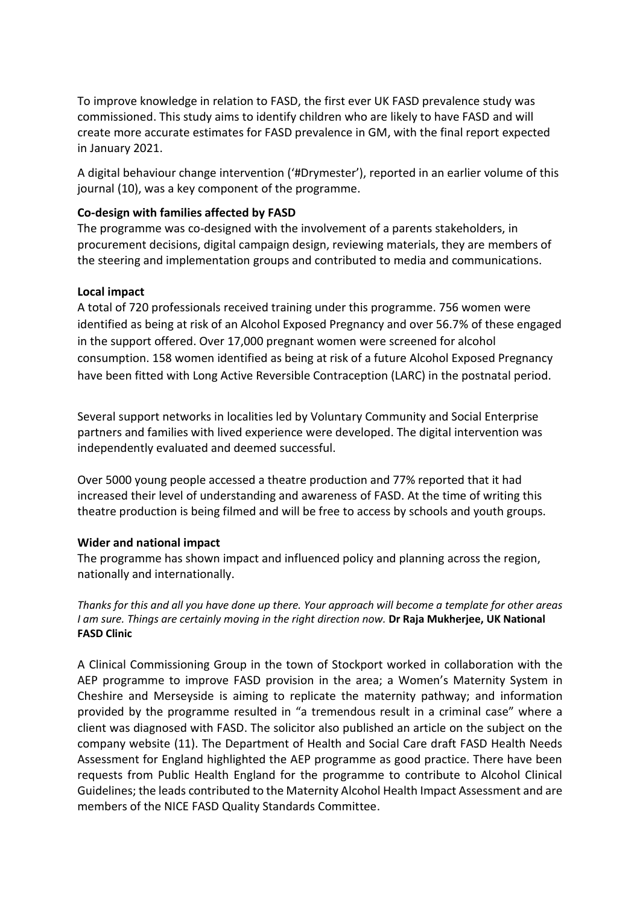To improve knowledge in relation to FASD, the first ever UK FASD prevalence study was commissioned. This study aims to identify children who are likely to have FASD and will create more accurate estimates for FASD prevalence in GM, with the final report expected in January 2021.

A digital behaviour change intervention ('#Drymester'), reported in an earlier volume of this journal (10), was a key component of the programme.

#### **Co-design with families affected by FASD**

The programme was co-designed with the involvement of a parents stakeholders, in procurement decisions, digital campaign design, reviewing materials, they are members of the steering and implementation groups and contributed to media and communications.

#### **Local impact**

A total of 720 professionals received training under this programme. 756 women were identified as being at risk of an Alcohol Exposed Pregnancy and over 56.7% of these engaged in the support offered. Over 17,000 pregnant women were screened for alcohol consumption. 158 women identified as being at risk of a future Alcohol Exposed Pregnancy have been fitted with Long Active Reversible Contraception (LARC) in the postnatal period.

Several support networks in localities led by Voluntary Community and Social Enterprise partners and families with lived experience were developed. The digital intervention was independently evaluated and deemed successful.

Over 5000 young people accessed a theatre production and 77% reported that it had increased their level of understanding and awareness of FASD. At the time of writing this theatre production is being filmed and will be free to access by schools and youth groups.

#### **Wider and national impact**

The programme has shown impact and influenced policy and planning across the region, nationally and internationally.

*Thanks for this and all you have done up there. Your approach will become a template for other areas I am sure. Things are certainly moving in the right direction now.* **Dr Raja Mukherjee, UK National FASD Clinic**

A Clinical Commissioning Group in the town of Stockport worked in collaboration with the AEP programme to improve FASD provision in the area; a Women's Maternity System in Cheshire and Merseyside is aiming to replicate the maternity pathway; and information provided by the programme resulted in "a tremendous result in a criminal case" where a client was diagnosed with FASD. The solicitor also published an article on the subject on the company website (11). The Department of Health and Social Care draft FASD Health Needs Assessment for England highlighted the AEP programme as good practice. There have been requests from Public Health England for the programme to contribute to Alcohol Clinical Guidelines; the leads contributed to the Maternity Alcohol Health Impact Assessment and are members of the NICE FASD Quality Standards Committee.